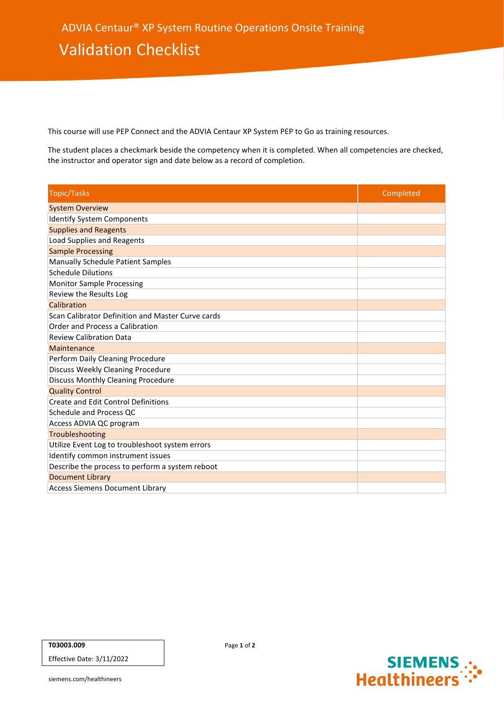This course will use PEP Connect and the ADVIA Centaur XP System PEP to Go as training resources.

The student places a checkmark beside the competency when it is completed. When all competencies are checked, the instructor and operator sign and date below as a record of completion.

| <b>Topic/Tasks</b>                                | Completed |
|---------------------------------------------------|-----------|
| <b>System Overview</b>                            |           |
| <b>Identify System Components</b>                 |           |
| <b>Supplies and Reagents</b>                      |           |
| Load Supplies and Reagents                        |           |
| <b>Sample Processing</b>                          |           |
| Manually Schedule Patient Samples                 |           |
| <b>Schedule Dilutions</b>                         |           |
| <b>Monitor Sample Processing</b>                  |           |
| Review the Results Log                            |           |
| Calibration                                       |           |
| Scan Calibrator Definition and Master Curve cards |           |
| Order and Process a Calibration                   |           |
| <b>Review Calibration Data</b>                    |           |
| Maintenance                                       |           |
| Perform Daily Cleaning Procedure                  |           |
| Discuss Weekly Cleaning Procedure                 |           |
| Discuss Monthly Cleaning Procedure                |           |
| <b>Quality Control</b>                            |           |
| <b>Create and Edit Control Definitions</b>        |           |
| Schedule and Process QC                           |           |
| Access ADVIA QC program                           |           |
| Troubleshooting                                   |           |
| Utilize Event Log to troubleshoot system errors   |           |
| Identify common instrument issues                 |           |
| Describe the process to perform a system reboot   |           |
| <b>Document Library</b>                           |           |
| <b>Access Siemens Document Library</b>            |           |

Effective Date: 3/11/2022



siemens.com/healthineers

Page **1** of **2**